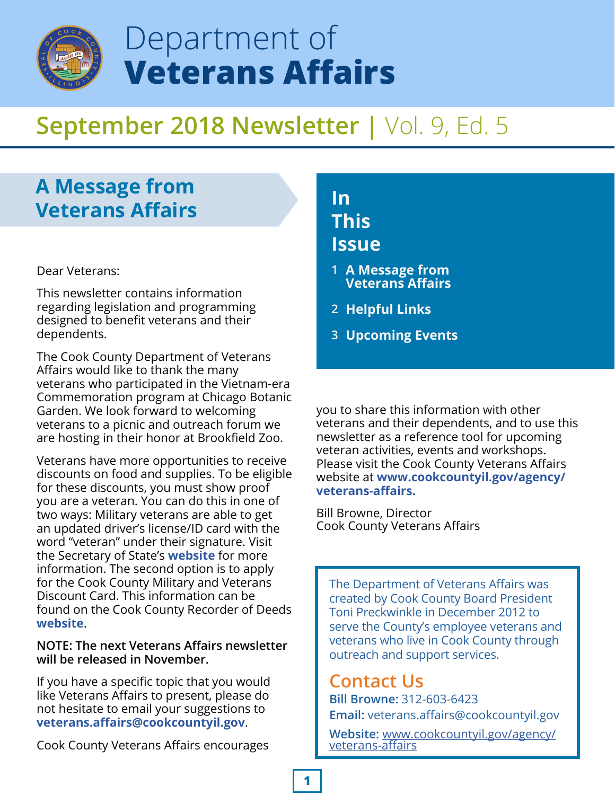

# Department of **Veterans Affairs**

# **September 2018 Newsletter |** Vol. 9, Ed. 5

## **A Message from Veterans Affairs**

Dear Veterans:

This newsletter contains information regarding legislation and programming designed to benefit veterans and their dependents.

The Cook County Department of Veterans Affairs would like to thank the many veterans who participated in the Vietnam-era Commemoration program at Chicago Botanic Garden. We look forward to welcoming veterans to a picnic and outreach forum we are hosting in their honor at Brookfield Zoo.

Veterans have more opportunities to receive discounts on food and supplies. To be eligible for these discounts, you must show proof you are a veteran. You can do this in one of two ways: Military veterans are able to get an updated driver's license/ID card with the word "veteran" under their signature. Visit the Secretary of State's **[website](https://www2.illinois.gov/veterans/benefits/Pages/Veteran-Driver)** for more information. The second option is to apply for the Cook County Military and Veterans Discount Card. This information can be found on the Cook County Recorder of Deeds **[website](http://cookrecorder.com/militarydiscount/)**.

#### **NOTE: The next Veterans Affairs newsletter will be released in November.**

If you have a specific topic that you would like Veterans Affairs to present, please do not hesitate to email your suggestions to **veterans.affairs@cookcountyil.gov**.

Cook County Veterans Affairs encourages

## **In This Issue**

- **A Message from 1 Veterans Affairs**
- **Helpful Links 2**
- **Upcoming Events 3**

you to share this information with other veterans and their dependents, and to use this newsletter as a reference tool for upcoming veteran activities, events and workshops. Please visit the Cook County Veterans Affairs website at **[www.cookcountyil.gov/agency/](http://www.cookcountyil.gov/agency/veterans-affairs) veterans-affairs.** 

Bill Browne, Director Cook County Veterans Affairs

The Department of Veterans Affairs was created by Cook County Board President Toni Preckwinkle in December 2012 to serve the County's employee veterans and veterans who live in Cook County through outreach and support services.

### **Contact Us**

**Bill Browne:** 312-603-6423 **Email:** veterans.affairs@cookcountyil.gov

**Website:** [www.cookcountyil.gov/agency/](http://www.cookcountyil.gov/agency/veterans-affairs) veterans-affairs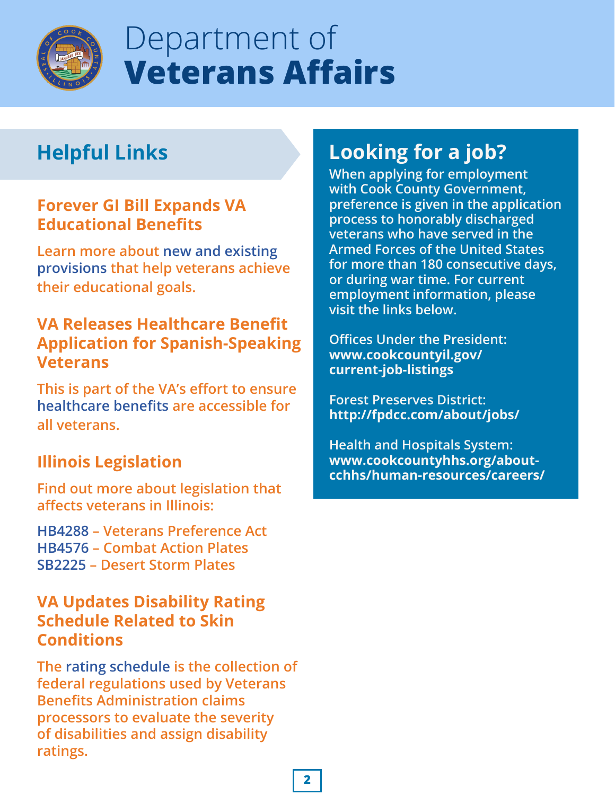

# Department of **Veterans Affairs**

# **Helpful Links**

#### **Forever GI Bill Expands VA Educational Benefits**

**Learn more about new and existing [provisions that help veterans achieve](https://www.benefits.va.gov/GIBILL/FGIBSummaries.asp)  their educational goals.** 

#### **VA Releases Healthcare Benefit Application for Spanish-Speaking Veterans**

**This is part of the VA's effort to ensure [healthcare benefits ar](https://www.va.gov/opa/pressrel/pressrelease.cfm?id=5091)e accessible for all veterans.**

### **Illinois Legislation**

**Find out more about legislation that affects veterans in Illinois:**

**[HB4288](http://www.ilga.gov/legislation/BillStatus.asp?DocNum=4288&GAID=14&DocTypeID=HB&SessionID=91&GA=100) – Veterans Preference Act [HB4576](http://www.ilga.gov/legislation/BillStatus.asp?DocTypeID=HB&DocNum=4576&GAID=14&SessionID=91&LegID=109505) – Combat Action Plates [SB2225](http://www.ilga.gov/legislation/BillStatus.asp?DocTypeID=SB&DocNum=2225&GAID=14&SessionID=91&LegID=107590) – Desert Storm Plates**

#### **VA Updates Disability Rating Schedule Related to Skin Conditions**

**The [rating schedule is](https://www.va.gov/opa/pressrel/pressrelease.cfm?id=5093) the collection of federal regulations used by Veterans Benefits Administration claims processors to evaluate the severity of disabilities and assign disability ratings.**

# **Looking for a job?**

**When applying for employment with Cook County Government, preference is given in the application process to honorably discharged veterans who have served in the Armed Forces of the United States for more than 180 consecutive days, or during war time. For current employment information, please visit the links below.**

**Offices Under the President: [www.cookcountyil.gov/](http://www.cookcountyil.gov/current-job-listings) current-job-listings**

**Forest Preserves District: http://fpdcc.com/about/jobs/**

**Health and Hospitals System: www.cookcountyhhs.org/about[cchhs/human-resources/careers/](http://www.cookcountyhhs.org/about-cchhs/human-resources/careers/)**